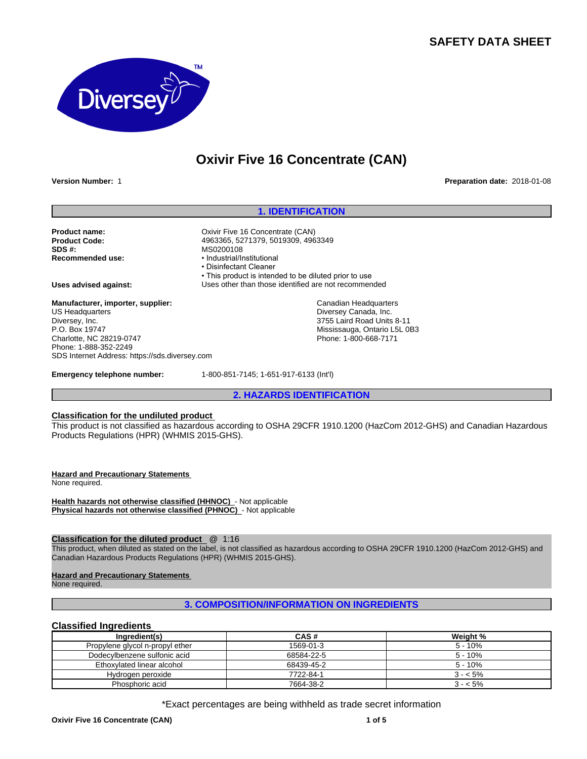## **SAFETY DATA SHEET**



# **Oxivir Five 16 Concentrate (CAN)**

**Version Number:** 1 **Preparation date:** 2018-01-08

#### **1. IDENTIFICATION**

Product name:<br> **Product Code:**<br> **Product Code:**<br> **Product Code:**<br> **Product Code:**<br> **Product Code: SDS #:** MS0200108

**Uses advised against:** Uses other than those identified are not recommended

**Manufacturer, importer, supplier:** US Headquarters Diversey, Inc. P.O. Box 19747 Charlotte, NC 28219-0747 Phone: 1-888-352-2249 SDS Internet Address: https://sds.diversey.com

**Product Code:** 4963365, 5271379, 5019309, 4963349

• This product is intended to be diluted prior to use

**Emergency telephone number:** 1-800-851-7145; 1-651-917-6133 (Int'l)

**Recommended use:** •Industrial/Institutional • Disinfectant Cleaner

**2. HAZARDS IDENTIFICATION**

Canadian Headquarters Diversey Canada, Inc. 3755 Laird Road Units 8-11 Mississauga, Ontario L5L 0B3 Phone: 1-800-668-7171

## **Classification for the undiluted product**

This product is not classified as hazardous according to OSHA 29CFR 1910.1200 (HazCom 2012-GHS) and Canadian Hazardous Products Regulations (HPR) (WHMIS 2015-GHS).

**Hazard and Precautionary Statements**  None required.

**Health hazards not otherwise classified (HHNOC)** - Not applicable **Physical hazards not otherwise classified (PHNOC)** - Not applicable

#### **Classification for the diluted product** @ 1:16

This product, when diluted as stated on the label, is not classified as hazardous according to OSHA 29CFR 1910.1200 (HazCom 2012-GHS) and Canadian Hazardous Products Regulations (HPR) (WHMIS 2015-GHS).

#### **Hazard and Precautionary Statements**

None required.

## **3. COMPOSITION/INFORMATION ON INGREDIENTS**

#### **Classified Ingredients**

| Ingredient(s)                   | CAS#       | Weight %  |
|---------------------------------|------------|-----------|
| Propylene glycol n-propyl ether | 1569-01-3  | $5 - 10%$ |
| Dodecylbenzene sulfonic acid    | 68584-22-5 | $5 - 10%$ |
| Ethoxylated linear alcohol      | 68439-45-2 | $5 - 10%$ |
| Hydrogen peroxide               | 7722-84-1  | $3 - 5\%$ |
| Phosphoric acid                 | 7664-38-2  | $3 - 5\%$ |

\*Exact percentages are being withheld as trade secret information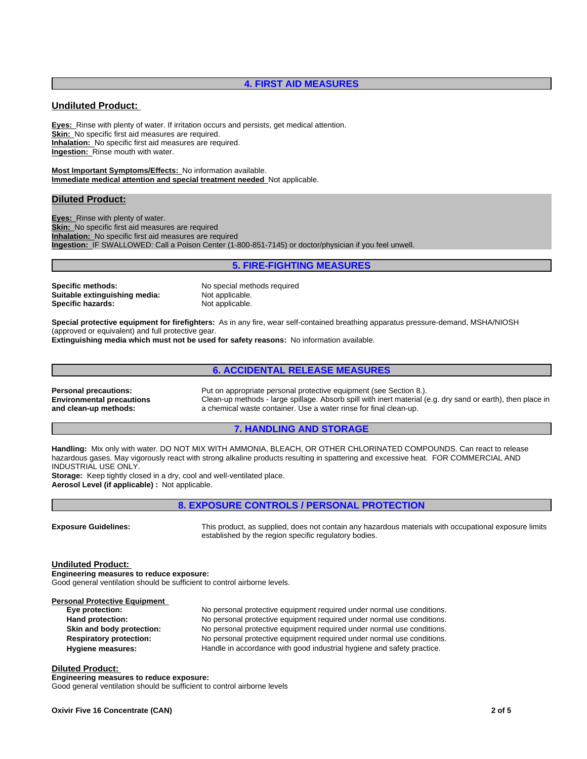## **4. FIRST AID MEASURES**

## **Undiluted Product:**

**Eyes:** Rinse with plenty of water. If irritation occurs and persists, get medical attention. **Skin:** No specific first aid measures are required. **Inhalation:** No specific first aid measures are required. **Ingestion:** Rinse mouth with water.

**Most Important Symptoms/Effects:** No information available. **Immediate medical attention and special treatment needed** Not applicable.

#### **Diluted Product:**

**Eyes:** Rinse with plenty of water. **Skin:** No specific first aid measures are required **Inhalation:** No specific first aid measures are required **Ingestion:** IF SWALLOWED: Call a Poison Center (1-800-851-7145) or doctor/physician if you feel unwell.

## **5. FIRE-FIGHTING MEASURES**

**Specific methods:** No special methods required **Suitable extinguishing media:** Not applicable.<br> **Specific hazards:** Not applicable. **Specific hazards:** 

**Special protective equipment for firefighters:** As in any fire, wear self-contained breathing apparatus pressure-demand, MSHA/NIOSH (approved or equivalent) and full protective gear.

**Extinguishing media which must not be used for safety reasons:** No information available.

## **6. ACCIDENTAL RELEASE MEASURES**

**Environmental precautions and clean-up methods:**

**Personal precautions:** Put on appropriate personal protective equipment (see Section 8.). Clean-up methods - large spillage. Absorb spill with inert material (e.g. dry sand or earth), then place in a chemical waste container. Use a water rinse for final clean-up.

#### **7. HANDLING AND STORAGE**

**Handling:** Mix only with water. DO NOT MIX WITH AMMONIA, BLEACH, OR OTHER CHLORINATED COMPOUNDS. Can react to release hazardous gases. May vigorously react with strong alkaline products resulting in spattering and excessive heat. FOR COMMERCIAL AND INDUSTRIAL USE ONLY.

**Storage:** Keep tightly closed in a dry, cool and well-ventilated place. **Aerosol Level (if applicable) :** Not applicable.

## **8. EXPOSURE CONTROLS / PERSONAL PROTECTION**

**Exposure Guidelines:** This product, as supplied, does not contain any hazardous materials with occupational exposure limits established by the region specific regulatory bodies.

**Undiluted Product: Engineering measures to reduce exposure:** Good general ventilation should be sufficient to control airborne levels.

**Personal Protective Equipment Eye protection:** No personal protective equipment required under normal use conditions. **Hand protection:** No personal protective equipment required under normal use conditions. **Skin and body protection:** No personal protective equipment required under normal use conditions. **Respiratory protection:** No personal protective equipment required under normal use conditions. Hygiene measures: **Handle in accordance with good industrial hygiene and safety practice.** 

#### **Diluted Product:**

**Engineering measures to reduce exposure:** Good general ventilation should be sufficient to control airborne levels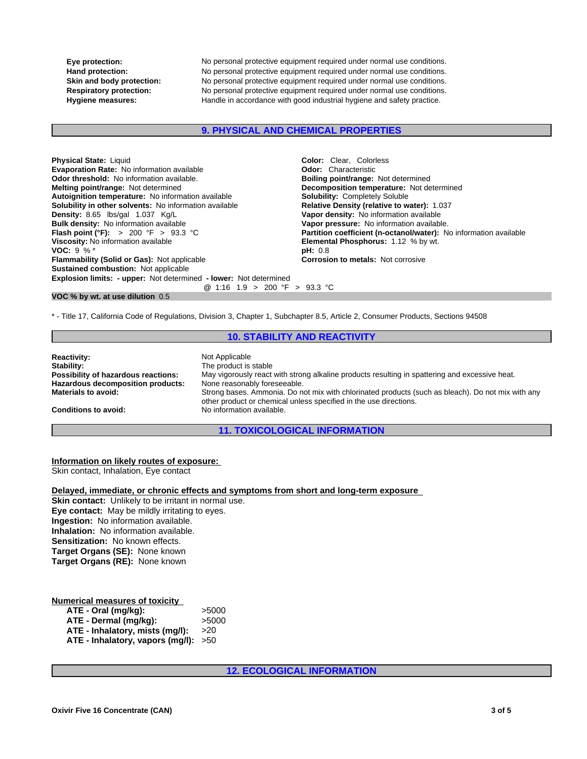**Eye protection:** No personal protective equipment required under normal use conditions. **Hand protection:** No personal protective equipment required under normal use conditions. **Skin and body protection:** No personal protective equipment required under normal use conditions. **Respiratory protection:** No personal protective equipment required under normal use conditions.<br> **Hygiene measures:** Handle in accordance with good industrial hygiene and safety practice. Handle in accordance with good industrial hygiene and safety practice.

#### **9. PHYSICAL AND CHEMICAL PROPERTIES**

| <b>Physical State: Liquid</b>                                            | <b>Color:</b> Clear. Colorless                                    |
|--------------------------------------------------------------------------|-------------------------------------------------------------------|
| <b>Evaporation Rate: No information available</b>                        | <b>Odor:</b> Characteristic                                       |
| <b>Odor threshold:</b> No information available.                         | <b>Boiling point/range: Not determined</b>                        |
| <b>Melting point/range: Not determined</b>                               | Decomposition temperature: Not determined                         |
| Autoignition temperature: No information available                       | <b>Solubility: Completely Soluble</b>                             |
| <b>Solubility in other solvents:</b> No information available            | Relative Density (relative to water): 1.037                       |
| Density: 8.65 lbs/gal 1.037 Kg/L                                         | Vapor density: No information available                           |
| <b>Bulk density:</b> No information available                            | Vapor pressure: No information available.                         |
| <b>Flash point (°F):</b> > 200 °F > 93.3 °C                              | Partition coefficient (n-octanol/water): No information available |
| Viscosity: No information available                                      | <b>Elemental Phosphorus: 1.12 % by wt.</b>                        |
| <b>VOC:</b> 9 % $*$                                                      | pH: 0.8                                                           |
| <b>Flammability (Solid or Gas): Not applicable</b>                       | <b>Corrosion to metals: Not corrosive</b>                         |
| <b>Sustained combustion: Not applicable</b>                              |                                                                   |
| <b>Explosion limits: - upper:</b> Not determined - lower: Not determined |                                                                   |
| @ 1:16 1.9 > 200 °F > 93.3 °C                                            |                                                                   |

#### **VOC % by wt. at use dilution** 0.5

\* - Title 17, California Code of Regulations, Division 3, Chapter 1, Subchapter 8.5, Article 2, Consumer Products, Sections 94508

## **10. STABILITY AND REACTIVITY**

| <b>Reactivity:</b>                  | Not Applicable                                                                                                                                                         |
|-------------------------------------|------------------------------------------------------------------------------------------------------------------------------------------------------------------------|
| Stability:                          | The product is stable                                                                                                                                                  |
| Possibility of hazardous reactions: | May vigorously react with strong alkaline products resulting in spattering and excessive heat.                                                                         |
| Hazardous decomposition products:   | None reasonably foreseeable.                                                                                                                                           |
| <b>Materials to avoid:</b>          | Strong bases. Ammonia. Do not mix with chlorinated products (such as bleach). Do not mix with any<br>other product or chemical unless specified in the use directions. |
| <b>Conditions to avoid:</b>         | No information available.                                                                                                                                              |
|                                     |                                                                                                                                                                        |

## **11. TOXICOLOGICAL INFORMATION**

#### **Information on likely routes of exposure:** Skin contact, Inhalation, Eye contact

**Delayed, immediate, or chronic effects and symptoms from short and long-term exposure**

**Skin contact:** Unlikely to be irritant in normal use. **Eye contact:** May be mildly irritating to eyes. **Ingestion:** No information available. **Inhalation:** No information available. **Sensitization:** No known effects. **Target Organs (SE):** None known **Target Organs (RE):** None known

## **Numerical measures of toxicity**

| $ATE - Oral (mg/kg):$                  | >5000 |
|----------------------------------------|-------|
| ATE - Dermal (mg/kg):                  | >5000 |
| ATE - Inhalatory, mists (mg/l):        | >20   |
| ATE - Inhalatory, vapors (mg/l): $>50$ |       |

**12. ECOLOGICAL INFORMATION**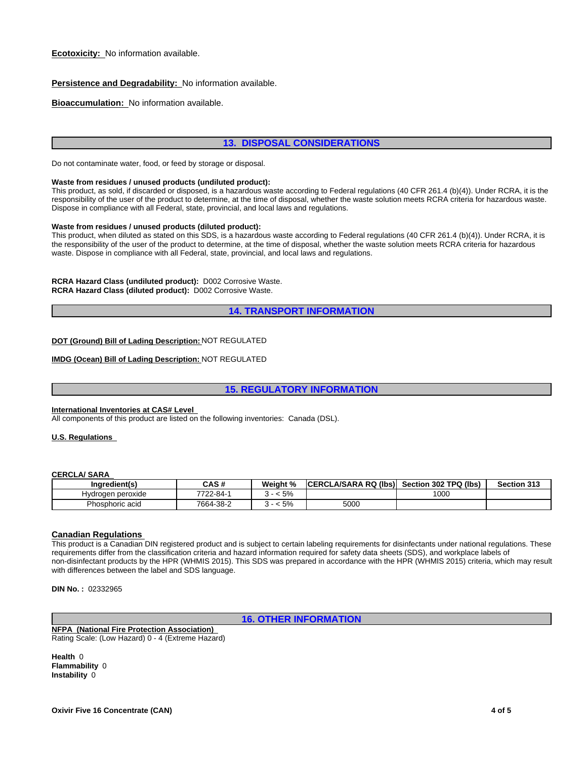## **Persistence and Degradability:** No information available.

**Bioaccumulation:** No information available.

## **13. DISPOSAL CONSIDERATIONS**

Do not contaminate water, food, or feed by storage or disposal.

#### **Waste from residues / unused products (undiluted product):**

This product, as sold, if discarded or disposed, is a hazardous waste according to Federal regulations (40 CFR 261.4 (b)(4)). Under RCRA, it is the responsibility of the user of the product to determine, at the time of disposal, whether the waste solution meets RCRA criteria for hazardous waste. Dispose in compliance with all Federal, state, provincial, and local laws and regulations.

#### **Waste from residues / unused products (diluted product):**

This product, when diluted as stated on this SDS, is a hazardous waste according to Federal regulations (40 CFR 261.4 (b)(4)). Under RCRA, it is the responsibility of the user of the product to determine, at the time of disposal, whether the waste solution meets RCRA criteria for hazardous waste. Dispose in compliance with all Federal, state, provincial, and local laws and regulations.

**RCRA Hazard Class (undiluted product):** D002 Corrosive Waste. **RCRA Hazard Class (diluted product):** D002 Corrosive Waste.

**14. TRANSPORT INFORMATION**

#### **DOT (Ground) Bill of Lading Description:** NOT REGULATED

#### **IMDG (Ocean) Bill of Lading Description:** NOT REGULATED

## **15. REGULATORY INFORMATION**

## **International Inventories at CAS# Level**

All components of this product are listed on the following inventories: Canada (DSL).

#### **U.S. Regulations**

#### **CERCLA/ SARA**

| Ingredient(s)     | $C^{\prime}$<br>ษคอ # | Weight %            | l (lbs)<br>ICERCLA/SARA RQ | 302 TPQ (lbs)<br><b>Section</b> | Section 313 |
|-------------------|-----------------------|---------------------|----------------------------|---------------------------------|-------------|
| Hydrogen peroxide | 7722-84-              | .5%                 |                            | 1000                            |             |
| Phosphoric acid   | 7664-38-2             | 50/<br>$\mathbf{J}$ | 5000                       |                                 |             |

#### **Canadian Regulations**

This product is a Canadian DIN registered product and is subject to certain labeling requirements for disinfectants under national regulations. These requirements differ from the classification criteria and hazard information required for safety data sheets (SDS), and workplace labels of non-disinfectant products by the HPR (WHMIS 2015). This SDS was prepared in accordance with the HPR (WHMIS 2015) criteria, which may result with differences between the label and SDS language.

**DIN No. :** 02332965

**16. OTHER INFORMATION**

**NFPA (National Fire Protection Association)**  Rating Scale: (Low Hazard) 0 - 4 (Extreme Hazard)

**Health** 0 **Flammability** 0 **Instability** 0